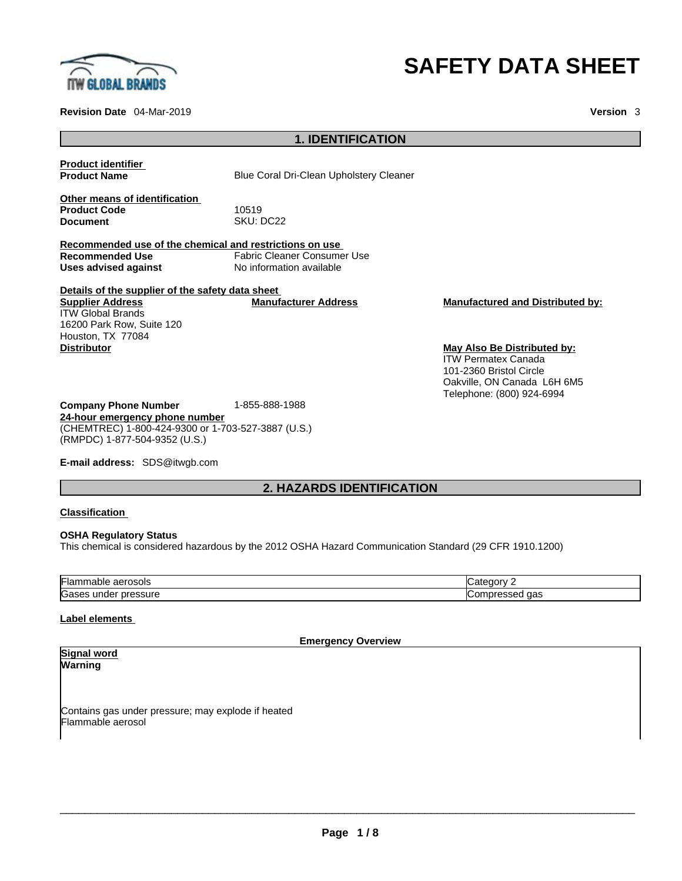

**Revision Date** 04-Mar-2019 **Version** 3

# **SAFETY DATA SHEET**

# **1. IDENTIFICATION**

**Product identifier Product Name** Blue Coral Dri-Clean Upholstery Cleaner **Other means of identification** Product Code **10519**<br>
Document SKU: L SKU: DC22 **Recommended use of the chemical and restrictions on use Recommended Use** Fabric Cleaner Consumer Use **Uses advised against** No information available **Details of the supplier of the safety data sheet Company Phone Number** 1-855-888-1988 **24-hour emergency phone number Supplier Address** ITW Global Brands 16200 Park Row, Suite 120 Houston, TX 77084<br>Distributor **Manufacturer Address Manufactured and Distributed by:**

**May Also Be Distributed by:** ITW Permatex Canada 101-2360 Bristol Circle Oakville, ON Canada L6H 6M5 Telephone: (800) 924-6994

**E-mail address:** SDS@itwgb.com

(RMPDC) 1-877-504-9352 (U.S.)

(CHEMTREC) 1-800-424-9300 or 1-703-527-3887 (U.S.)

# **2. HAZARDS IDENTIFICATION**

#### **Classification**

#### **OSHA Regulatory Status**

This chemical is considered hazardous by the 2012 OSHA Hazard Communication Standard (29 CFR 1910.1200)

| iai<br>naoie<br>aerosois<br>Ш | ----                     |
|-------------------------------|--------------------------|
| ∽<br>ssure<br>unge<br>п       | ua:<br>טו<br>$\check{ }$ |

#### **Label elements**

**Emergency Overview** 

#### **Signal word Warning**

Contains gas under pressure; may explode if heated Flammable aerosol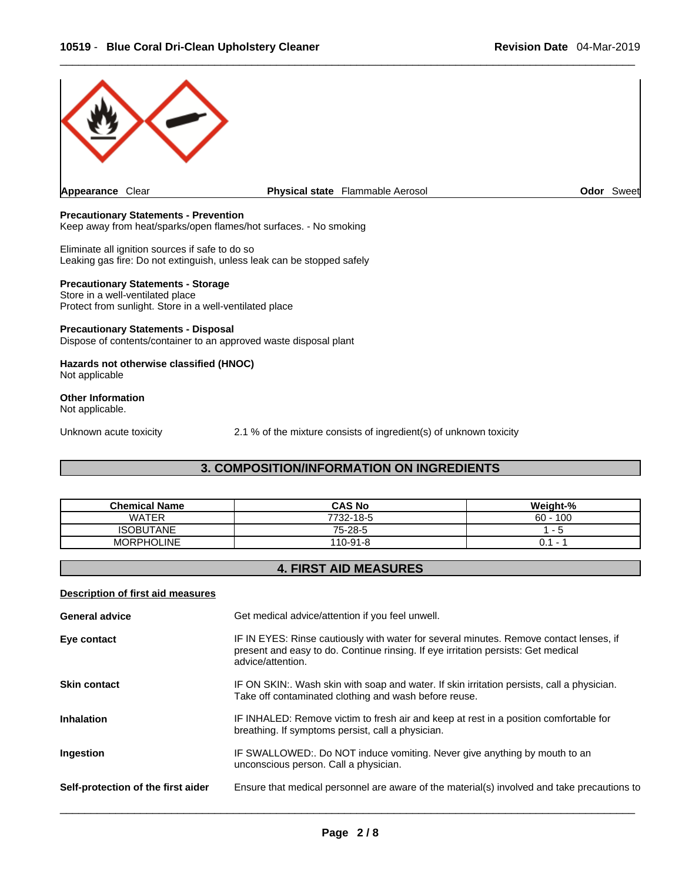

#### **Precautionary Statements - Prevention**

Keep away from heat/sparks/open flames/hot surfaces. - No smoking

Eliminate all ignition sources if safe to do so Leaking gas fire: Do not extinguish, unless leak can be stopped safely

#### **Precautionary Statements - Storage**

Store in a well-ventilated place Protect from sunlight. Store in a well-ventilated place

#### **Precautionary Statements - Disposal**

Dispose of contents/container to an approved waste disposal plant

#### **Hazards not otherwise classified (HNOC)**  Not applicable

**Other Information** 

Not applicable.

Unknown acute toxicity 2.1 % of the mixture consists of ingredient(s) of unknown toxicity

### **3. COMPOSITION/INFORMATION ON INGREDIENTS**

| <b>Chemical Name</b> | <b>CAS No</b> | Weight-%                 |
|----------------------|---------------|--------------------------|
| <b>WATFR</b>         | 7732-18-5     | 100<br>$60 -$            |
| <b>ISOBUTANE</b>     | 75-28-5       | $\overline{\phantom{0}}$ |
| <b>MORPHOLINE</b>    | 110-91-8      | υ.<br>-                  |

# **4. FIRST AID MEASURES**

#### **Description of first aid measures**

| <b>General advice</b>              | Get medical advice/attention if you feel unwell.                                                                                                                                                 |
|------------------------------------|--------------------------------------------------------------------------------------------------------------------------------------------------------------------------------------------------|
| Eye contact                        | IF IN EYES: Rinse cautiously with water for several minutes. Remove contact lenses, if<br>present and easy to do. Continue rinsing. If eye irritation persists: Get medical<br>advice/attention. |
| <b>Skin contact</b>                | IF ON SKIN:. Wash skin with soap and water. If skin irritation persists, call a physician.<br>Take off contaminated clothing and wash before reuse.                                              |
| <b>Inhalation</b>                  | IF INHALED: Remove victim to fresh air and keep at rest in a position comfortable for<br>breathing. If symptoms persist, call a physician.                                                       |
| Ingestion                          | IF SWALLOWED:. Do NOT induce vomiting. Never give anything by mouth to an<br>unconscious person. Call a physician.                                                                               |
| Self-protection of the first aider | Ensure that medical personnel are aware of the material(s) involved and take precautions to                                                                                                      |
|                                    |                                                                                                                                                                                                  |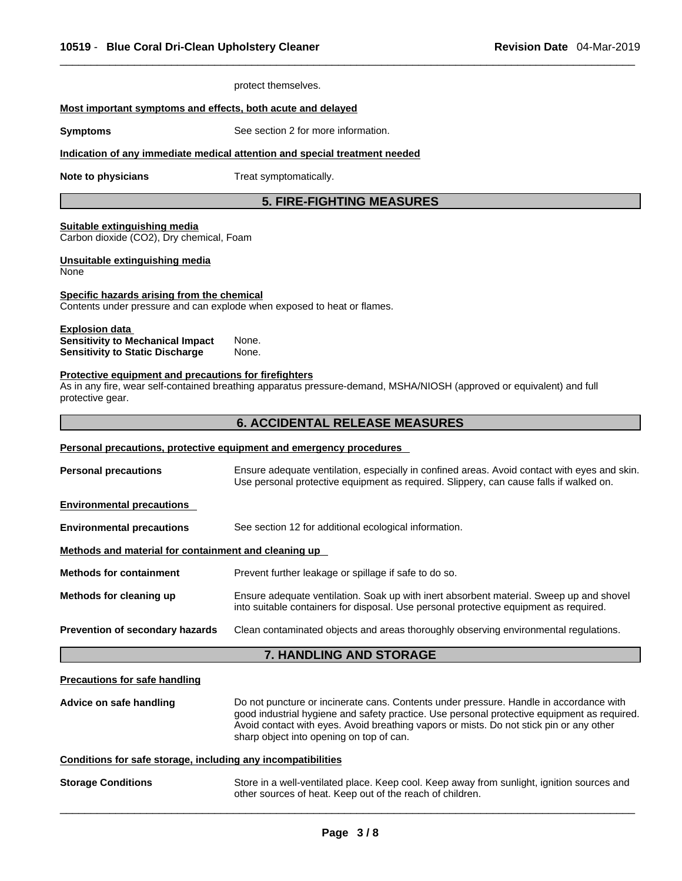|                                                                                                            | protect themselves.                                                                                                                                                                                                                                                                                                          |  |  |
|------------------------------------------------------------------------------------------------------------|------------------------------------------------------------------------------------------------------------------------------------------------------------------------------------------------------------------------------------------------------------------------------------------------------------------------------|--|--|
| Most important symptoms and effects, both acute and delayed                                                |                                                                                                                                                                                                                                                                                                                              |  |  |
| See section 2 for more information.<br><b>Symptoms</b>                                                     |                                                                                                                                                                                                                                                                                                                              |  |  |
|                                                                                                            | Indication of any immediate medical attention and special treatment needed                                                                                                                                                                                                                                                   |  |  |
| Note to physicians                                                                                         | Treat symptomatically.                                                                                                                                                                                                                                                                                                       |  |  |
|                                                                                                            | <b>5. FIRE-FIGHTING MEASURES</b>                                                                                                                                                                                                                                                                                             |  |  |
| Suitable extinguishing media<br>Carbon dioxide (CO2), Dry chemical, Foam                                   |                                                                                                                                                                                                                                                                                                                              |  |  |
| Unsuitable extinguishing media<br>None                                                                     |                                                                                                                                                                                                                                                                                                                              |  |  |
| Specific hazards arising from the chemical                                                                 | Contents under pressure and can explode when exposed to heat or flames.                                                                                                                                                                                                                                                      |  |  |
| <b>Explosion data</b><br><b>Sensitivity to Mechanical Impact</b><br><b>Sensitivity to Static Discharge</b> | None.<br>None.                                                                                                                                                                                                                                                                                                               |  |  |
| Protective equipment and precautions for firefighters<br>protective gear.                                  | As in any fire, wear self-contained breathing apparatus pressure-demand, MSHA/NIOSH (approved or equivalent) and full                                                                                                                                                                                                        |  |  |
|                                                                                                            | <b>6. ACCIDENTAL RELEASE MEASURES</b>                                                                                                                                                                                                                                                                                        |  |  |
|                                                                                                            | <b>Personal precautions, protective equipment and emergency procedures</b>                                                                                                                                                                                                                                                   |  |  |
| <b>Personal precautions</b>                                                                                | Ensure adequate ventilation, especially in confined areas. Avoid contact with eyes and skin.<br>Use personal protective equipment as required. Slippery, can cause falls if walked on.                                                                                                                                       |  |  |
| <b>Environmental precautions</b>                                                                           |                                                                                                                                                                                                                                                                                                                              |  |  |
| <b>Environmental precautions</b>                                                                           | See section 12 for additional ecological information.                                                                                                                                                                                                                                                                        |  |  |
| Methods and material for containment and cleaning up                                                       |                                                                                                                                                                                                                                                                                                                              |  |  |
| <b>Methods for containment</b>                                                                             | Prevent further leakage or spillage if safe to do so.                                                                                                                                                                                                                                                                        |  |  |
| Methods for cleaning up                                                                                    | Ensure adequate ventilation. Soak up with inert absorbent material. Sweep up and shovel<br>into suitable containers for disposal. Use personal protective equipment as required.                                                                                                                                             |  |  |
| Prevention of secondary hazards                                                                            | Clean contaminated objects and areas thoroughly observing environmental regulations.                                                                                                                                                                                                                                         |  |  |
|                                                                                                            | 7. HANDLING AND STORAGE                                                                                                                                                                                                                                                                                                      |  |  |
| <b>Precautions for safe handling</b>                                                                       |                                                                                                                                                                                                                                                                                                                              |  |  |
| Advice on safe handling                                                                                    | Do not puncture or incinerate cans. Contents under pressure. Handle in accordance with<br>good industrial hygiene and safety practice. Use personal protective equipment as required.<br>Avoid contact with eyes. Avoid breathing vapors or mists. Do not stick pin or any other<br>sharp object into opening on top of can. |  |  |
| Conditions for safe storage, including any incompatibilities                                               |                                                                                                                                                                                                                                                                                                                              |  |  |
| <b>Storage Conditions</b>                                                                                  | Store in a well-ventilated place. Keep cool. Keep away from sunlight, ignition sources and                                                                                                                                                                                                                                   |  |  |

other sources of heat. Keep out of the reach of children.  $\_$  ,  $\_$  ,  $\_$  ,  $\_$  ,  $\_$  ,  $\_$  ,  $\_$  ,  $\_$  ,  $\_$  ,  $\_$  ,  $\_$  ,  $\_$  ,  $\_$  ,  $\_$  ,  $\_$  ,  $\_$  ,  $\_$  ,  $\_$  ,  $\_$  ,  $\_$  ,  $\_$  ,  $\_$  ,  $\_$  ,  $\_$  ,  $\_$  ,  $\_$  ,  $\_$  ,  $\_$  ,  $\_$  ,  $\_$  ,  $\_$  ,  $\_$  ,  $\_$  ,  $\_$  ,  $\_$  ,  $\_$  ,  $\_$  ,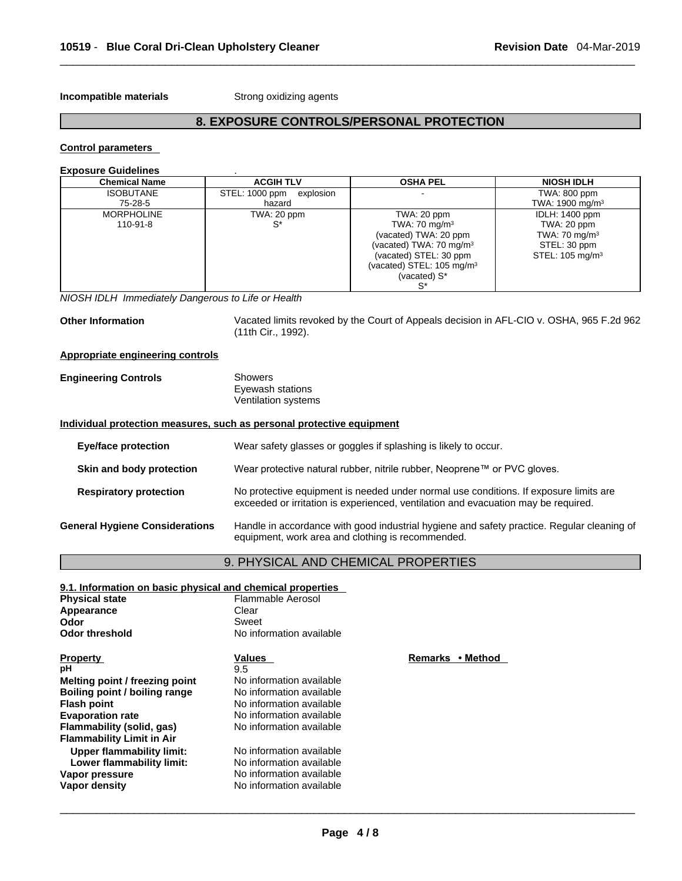**Incompatible materials** Strong oxidizing agents

# **8. EXPOSURE CONTROLS/PERSONAL PROTECTION**

#### **Control parameters**

| <b>Exposure Guidelines</b>          |                                       |                                                                                                                                                                                   |                                                                                                                 |
|-------------------------------------|---------------------------------------|-----------------------------------------------------------------------------------------------------------------------------------------------------------------------------------|-----------------------------------------------------------------------------------------------------------------|
| <b>Chemical Name</b>                | <b>ACGIH TLV</b>                      | <b>OSHA PEL</b>                                                                                                                                                                   | <b>NIOSH IDLH</b>                                                                                               |
| <b>ISOBUTANE</b><br>75-28-5         | STEL: 1000 ppm<br>explosion<br>hazard |                                                                                                                                                                                   | TWA: 800 ppm<br>TWA: 1900 mg/m <sup>3</sup>                                                                     |
| <b>MORPHOLINE</b><br>$110 - 91 - 8$ | TWA: 20 ppm                           | TWA: 20 ppm<br>TWA: 70 mg/m $3$<br>(vacated) TWA: 20 ppm<br>(vacated) TWA: 70 mg/m <sup>3</sup><br>(vacated) STEL: 30 ppm<br>(vacated) STEL: $105 \text{ mg/m}^3$<br>(vacated) S* | <b>IDLH: 1400 ppm</b><br>TWA: 20 ppm<br>TWA: $70 \text{ mg/m}^3$<br>STEL: 30 ppm<br>STEL: 105 mg/m <sup>3</sup> |

*NIOSH IDLH Immediately Dangerous to Life or Health* 

**Other Information** Vacated limits revoked by the Court of Appeals decision in AFL-CIO v.OSHA, 965 F.2d 962 (11th Cir., 1992).

#### **Appropriate engineering controls**

| <b>Engineering Controls</b> | Showers             |  |
|-----------------------------|---------------------|--|
|                             | Eyewash stations    |  |
|                             | Ventilation systems |  |

#### **Individual protection measures, such as personal protective equipment**

| <b>Eye/face protection</b>            | Wear safety glasses or goggles if splashing is likely to occur.                                                                                                             |
|---------------------------------------|-----------------------------------------------------------------------------------------------------------------------------------------------------------------------------|
| Skin and body protection              | Wear protective natural rubber, nitrile rubber, Neoprene™ or PVC gloves.                                                                                                    |
| <b>Respiratory protection</b>         | No protective equipment is needed under normal use conditions. If exposure limits are<br>exceeded or irritation is experienced, ventilation and evacuation may be required. |
| <b>General Hygiene Considerations</b> | Handle in accordance with good industrial hygiene and safety practice. Regular cleaning of<br>equipment, work area and clothing is recommended.                             |

# 9. PHYSICAL AND CHEMICAL PROPERTIES

| 9.1. Information on basic physical and chemical properties |                          |                  |  |  |
|------------------------------------------------------------|--------------------------|------------------|--|--|
| <b>Physical state</b>                                      | Flammable Aerosol        |                  |  |  |
| Appearance                                                 | Clear                    |                  |  |  |
| Odor                                                       | Sweet                    |                  |  |  |
| <b>Odor threshold</b>                                      | No information available |                  |  |  |
| <b>Property</b>                                            | Values                   | Remarks • Method |  |  |
| рH                                                         | 9.5                      |                  |  |  |
| Melting point / freezing point                             | No information available |                  |  |  |
| Boiling point / boiling range                              | No information available |                  |  |  |
| <b>Flash point</b>                                         | No information available |                  |  |  |
| <b>Evaporation rate</b>                                    | No information available |                  |  |  |
| Flammability (solid, gas)                                  | No information available |                  |  |  |
| <b>Flammability Limit in Air</b>                           |                          |                  |  |  |
| Upper flammability limit:                                  | No information available |                  |  |  |
| Lower flammability limit:                                  | No information available |                  |  |  |
| Vapor pressure                                             | No information available |                  |  |  |
| Vapor density                                              | No information available |                  |  |  |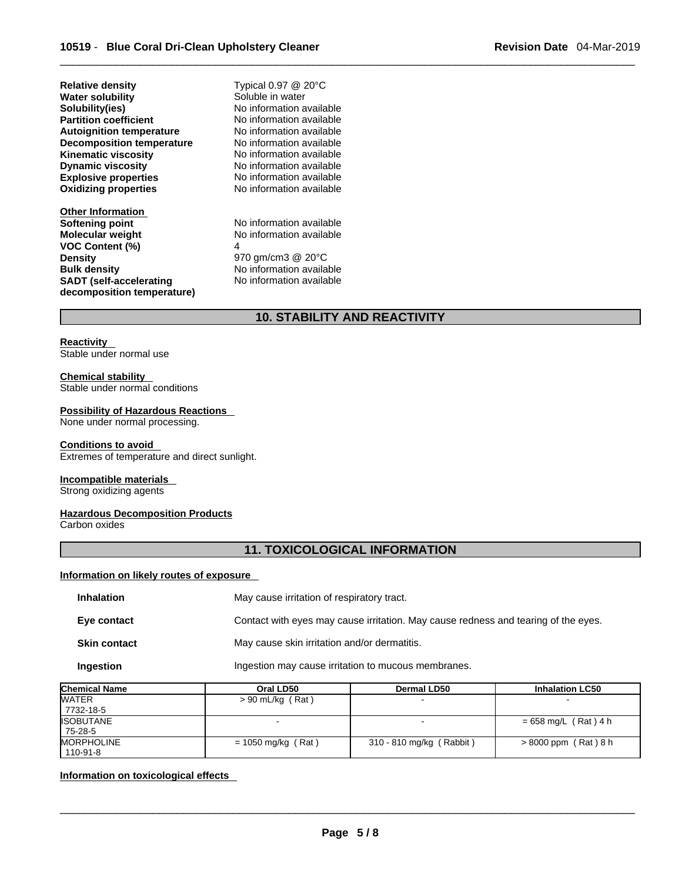**Explosive properties**<br> **Oxidizing properties**<br>
No information available **Oxidizing properties Relative density** Typical 0.97 @ 20°C **Water solubility** Soluble in water **Solubility(ies)** No information available **Partition coefficient**<br> **Autoignition temperature**<br>
No information available **Autoignition temperature No information available**<br> **Decomposition temperature No information available Decomposition temperature** No information available<br>**Kinematic viscosity** No information available **Kinematic viscosity**<br>Dynamic viscosity

**Other Information Softening point**<br> **Molecular weight**<br> **Molecular weight**<br> **Molecular weight**<br> **Molecular weight VOC Content (%)** 4 **Density**<br> **Bulk density**<br> **Bulk density**<br> **Parameter Allen Montenantion availa**<br>
No information availa **SADT (self-accelerating decomposition temperature)**

**Dynamic viscosity** No information available

**No information available No information available** No information available

# **10. STABILITY AND REACTIVITY**

#### **Reactivity**

Stable under normal use

#### **Chemical stability**

Stable under normal conditions

#### **Possibility of Hazardous Reactions**

None under normal processing.

#### **Conditions to avoid**

Extremes of temperature and direct sunlight.

#### **Incompatible materials**

Strong oxidizing agents

## **Hazardous Decomposition Products**

Carbon oxides

# **11. TOXICOLOGICAL INFORMATION**

### **Information on likely routes of exposure**

| <b>Inhalation</b>   | May cause irritation of respiratory tract.                                         |
|---------------------|------------------------------------------------------------------------------------|
| Eye contact         | Contact with eyes may cause irritation. May cause redness and tearing of the eyes. |
| <b>Skin contact</b> | May cause skin irritation and/or dermatitis.                                       |
| Ingestion           | Ingestion may cause irritation to mucous membranes.                                |

| <b>Chemical Name</b> | Oral LD50            | <b>Dermal LD50</b>       | <b>Inhalation LC50</b> |
|----------------------|----------------------|--------------------------|------------------------|
| <b>WATER</b>         | $> 90$ mL/kg (Rat)   |                          |                        |
| 7732-18-5            |                      |                          |                        |
| <b>ISOBUTANE</b>     |                      |                          | $= 658$ mg/L (Rat) 4 h |
| 75-28-5              |                      |                          |                        |
| <b>MORPHOLINE</b>    | $= 1050$ mg/kg (Rat) | 310 - 810 mg/kg (Rabbit) | $> 8000$ ppm (Rat) 8 h |
| 110-91-8             |                      |                          |                        |

#### **Information on toxicological effects**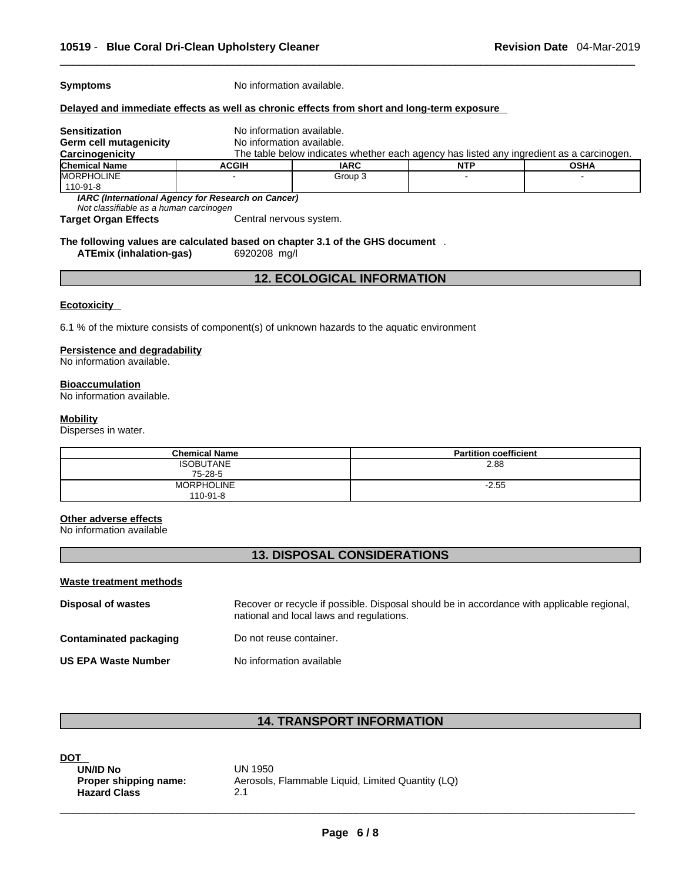**Symptoms** No information available.

#### **Delayed and immediate effects as well as chronic effects from short and long-term exposure**

| <b>Sensitization</b>                               | No information available.                                                                |             |            |             |
|----------------------------------------------------|------------------------------------------------------------------------------------------|-------------|------------|-------------|
| Germ cell mutagenicity                             | No information available.                                                                |             |            |             |
| Carcinogenicity                                    | The table below indicates whether each agency has listed any ingredient as a carcinogen. |             |            |             |
| <b>Chemical Name</b>                               | <b>ACGIH</b>                                                                             | <b>IARC</b> | <b>NTP</b> | <b>OSHA</b> |
| <b>IMORPHOLINE</b>                                 |                                                                                          | Group 3     |            |             |
| 110-91-8                                           |                                                                                          |             |            |             |
| IARC (International Agency for Research on Cancer) |                                                                                          |             |            |             |

*Not classifiable as a human carcinogen* 

Central nervous system.

#### **The following values are calculated based on chapter 3.1 of the GHS document** .**ATEmix** (inhalation-gas)

# **12. ECOLOGICAL INFORMATION**

#### **Ecotoxicity**

6.1 % of the mixture consists of component(s) of unknown hazards to the aquatic environment

#### **Persistence and degradability**

No information available.

#### **Bioaccumulation**

No information available.

#### **Mobility**

Disperses in water.

| <b>Chemical Name</b> | <b>Partition coefficient</b> |
|----------------------|------------------------------|
| <b>ISOBUTANE</b>     | 2.88                         |
| 75-28-5              |                              |
| <b>MORPHOLINE</b>    | $-2.55$                      |
| $110 - 91 - 8$       |                              |

#### **Other adverse effects**

No information available

### **13. DISPOSAL CONSIDERATIONS**

#### **Waste treatment methods**

| Disposal of wastes         | Recover or recycle if possible. Disposal should be in accordance with applicable regional,<br>national and local laws and regulations. |
|----------------------------|----------------------------------------------------------------------------------------------------------------------------------------|
| Contaminated packaging     | Do not reuse container.                                                                                                                |
| <b>US EPA Waste Number</b> | No information available                                                                                                               |

# **14. TRANSPORT INFORMATION**

| <b>DOT</b>            |                            |
|-----------------------|----------------------------|
| UN/ID No              | UN 1950                    |
| Proper shipping name: | Aerosols, Flammable Liquid |
| <b>Hazard Class</b>   | 21                         |

**UN/ID No** UN 1950 **Proper shipping name:** Aerosols, Flammable Liquid, Limited Quantity (LQ)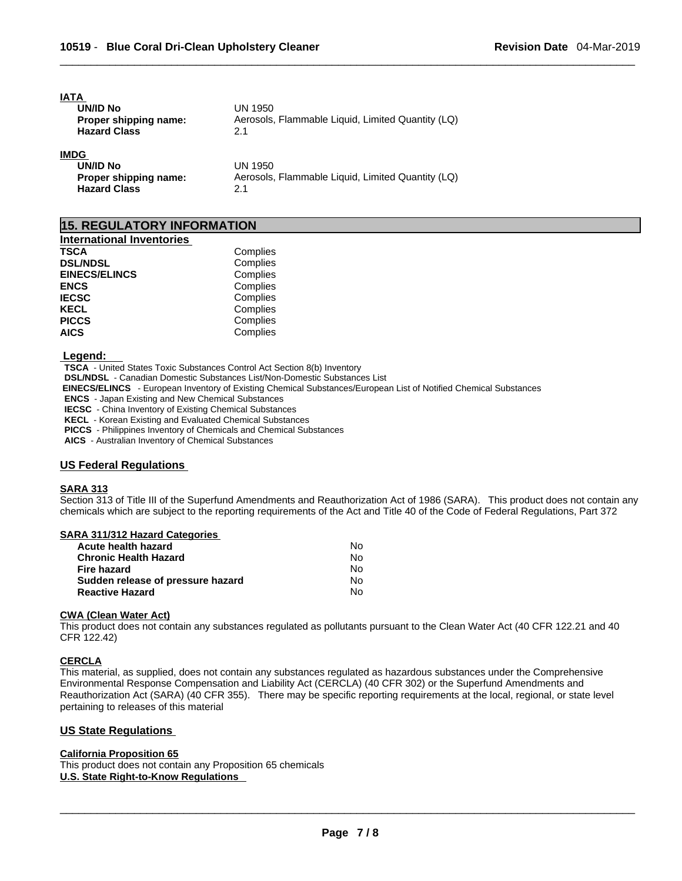| <b>IATA</b>           |                                                   |
|-----------------------|---------------------------------------------------|
| UN/ID No              | UN 1950                                           |
| Proper shipping name: | Aerosols, Flammable Liquid, Limited Quantity (LQ) |
| <b>Hazard Class</b>   | 2.1                                               |
| <b>IMDG</b>           |                                                   |
| UN/ID No              | UN 1950                                           |
| Proper shipping name: | Aerosols, Flammable Liquid, Limited Quantity (LQ) |

**15. REGULATORY INFORMATION** 

**Hazard Class** 2.1

| <b>International Inventories</b> |          |
|----------------------------------|----------|
| <b>TSCA</b>                      | Complies |
| <b>DSL/NDSL</b>                  | Complies |
| <b>EINECS/ELINCS</b>             | Complies |
| <b>ENCS</b>                      | Complies |
| <b>IECSC</b>                     | Complies |
| <b>KECL</b>                      | Complies |
| <b>PICCS</b>                     | Complies |
| <b>AICS</b>                      | Complies |

 **Legend:** 

**TSCA** - United States Toxic Substances Control Act Section 8(b) Inventory

**DSL/NDSL** - Canadian Domestic Substances List/Non-Domestic Substances List

 **EINECS/ELINCS** - European Inventory of Existing Chemical Substances/European List of Notified Chemical Substances

**ENCS** - Japan Existing and New Chemical Substances

**IECSC** - China Inventory of Existing Chemical Substances

**KECL** - Korean Existing and Evaluated Chemical Substances

**PICCS** - Philippines Inventory of Chemicals and Chemical Substances

**AICS** - Australian Inventory of Chemical Substances

#### **US Federal Regulations**

#### **SARA 313**

Section 313 of Title III of the Superfund Amendments and Reauthorization Act of 1986 (SARA). This product does not contain any chemicals which are subject to the reporting requirements of the Act and Title 40 of the Code of Federal Regulations, Part 372

#### **SARA 311/312 Hazard Categories**

| Acute health hazard               | Nο  |  |
|-----------------------------------|-----|--|
| Chronic Health Hazard             | N٥  |  |
| Fire hazard                       | No. |  |
| Sudden release of pressure hazard | No. |  |
| Reactive Hazard                   | N٥  |  |

#### **CWA (Clean WaterAct)**

This product does not contain any substances regulated as pollutants pursuant to the Clean Water Act (40 CFR 122.21 and 40 CFR 122.42)

#### **CERCLA**

This material, as supplied, does not contain any substances regulated as hazardous substances under the Comprehensive Environmental Response Compensation and Liability Act (CERCLA) (40 CFR 302) or the Superfund Amendments and Reauthorization Act (SARA) (40 CFR 355). There may be specific reporting requirements at the local, regional, or state level pertaining to releases of this material

### **US State Regulations**

#### **California Proposition 65**

This product does not contain any Proposition 65 chemicals **U.S. State Right-to-Know Regulations**